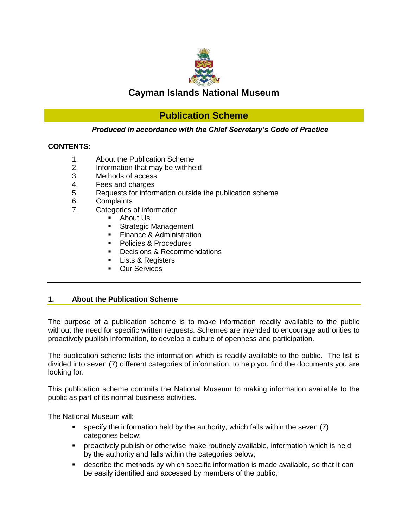

# **Cayman Islands National Museum**

# **Publication Scheme**

# *Produced in accordance with the Chief Secretary's Code of Practice*

# **CONTENTS:**

- 1. About the Publication Scheme
- 2. Information that may be withheld
- 3. Methods of access
- 4. Fees and charges
- 5. Requests for information outside the publication scheme
- 6. Complaints
- 7. Categories of information
	- **About Us**
	- **Strategic Management**
	- **Finance & Administration**
	- Policies & Procedures
	- Decisions & Recommendations
	- Lists & Registers
	- Our Services

# **1. About the Publication Scheme**

The purpose of a publication scheme is to make information readily available to the public without the need for specific written requests. Schemes are intended to encourage authorities to proactively publish information, to develop a culture of openness and participation.

The publication scheme lists the information which is readily available to the public. The list is divided into seven (7) different categories of information, to help you find the documents you are looking for.

This publication scheme commits the National Museum to making information available to the public as part of its normal business activities.

The National Museum will:

- specify the information held by the authority, which falls within the seven (7) categories below;
- proactively publish or otherwise make routinely available, information which is held by the authority and falls within the categories below;
- describe the methods by which specific information is made available, so that it can be easily identified and accessed by members of the public;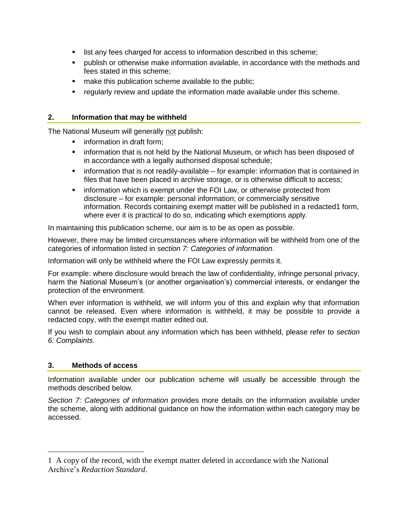- **I** list any fees charged for access to information described in this scheme;
- publish or otherwise make information available, in accordance with the methods and fees stated in this scheme;
- **nake this publication scheme available to the public;**
- regularly review and update the information made available under this scheme.

# **2. Information that may be withheld**

The National Museum will generally not publish:

- **Filter** information in draft form;
- **F** information that is not held by the National Museum, or which has been disposed of in accordance with a legally authorised disposal schedule;
- **EXT** information that is not readily-available for example: information that is contained in files that have been placed in archive storage, or is otherwise difficult to access;
- **EXED** information which is exempt under the FOI Law, or otherwise protected from disclosure – for example: personal information; or commercially sensitive information. Records containing exempt matter will be published in a redacted1 form, where ever it is practical to do so, indicating which exemptions apply.

In maintaining this publication scheme, our aim is to be as open as possible.

However, there may be limited circumstances where information will be withheld from one of the categories of information listed in *section 7: Categories of information*.

Information will only be withheld where the FOI Law expressly permits it.

For example: where disclosure would breach the law of confidentiality, infringe personal privacy, harm the National Museum's (or another organisation's) commercial interests, or endanger the protection of the environment.

When ever information is withheld, we will inform you of this and explain why that information cannot be released. Even where information is withheld, it may be possible to provide a redacted copy, with the exempt matter edited out.

If you wish to complain about any information which has been withheld, please refer to *section 6: Complaints*.

# **3. Methods of access**

 $\overline{a}$ 

Information available under our publication scheme will usually be accessible through the methods described below.

*Section 7: Categories of information* provides more details on the information available under the scheme, along with additional guidance on how the information within each category may be accessed.

<sup>1</sup> A copy of the record, with the exempt matter deleted in accordance with the National Archive's *Redaction Standard*.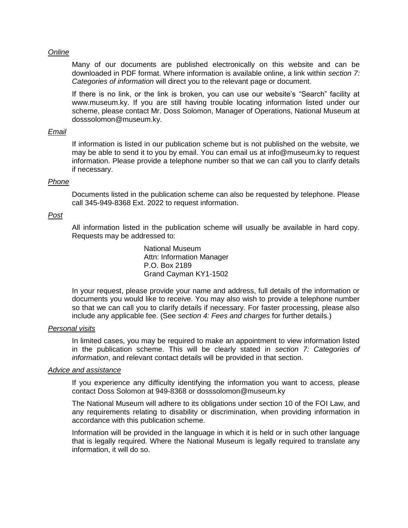#### *Online*

Many of our documents are published electronically on this website and can be downloaded in PDF format. Where information is available online, a link within *section 7: Categories of information* will direct you to the relevant page or document.

If there is no link, or the link is broken, you can use our website's "Search" facility at www.museum.ky. If you are still having trouble locating information listed under our scheme, please contact Mr. Doss Solomon, Manager of Operations, National Museum at dosssolomon@museum.ky.

#### *Email*

If information is listed in our publication scheme but is not published on the website, we may be able to send it to you by email. You can email us at info@museum.ky to request information. Please provide a telephone number so that we can call you to clarify details if necessary.

#### *Phone*

Documents listed in the publication scheme can also be requested by telephone. Please call 345-949-8368 Ext. 2022 to request information.

#### *Post*

All information listed in the publication scheme will usually be available in hard copy. Requests may be addressed to:

> National Museum Attn: Information Manager P.O. Box 2189 Grand Cayman KY1-1502

In your request, please provide your name and address, full details of the information or documents you would like to receive. You may also wish to provide a telephone number so that we can call you to clarify details if necessary. For faster processing, please also include any applicable fee. (See *section 4: Fees and charges* for further details.)

# *Personal visits*

In limited cases, you may be required to make an appointment to view information listed in the publication scheme. This will be clearly stated in *section 7: Categories of information*, and relevant contact details will be provided in that section.

#### *Advice and assistance*

If you experience any difficulty identifying the information you want to access, please contact Doss Solomon at 949-8368 or dosssolomon@museum.ky

The National Museum will adhere to its obligations under section 10 of the FOI Law, and any requirements relating to disability or discrimination, when providing information in accordance with this publication scheme.

Information will be provided in the language in which it is held or in such other language that is legally required. Where the National Museum is legally required to translate any information, it will do so.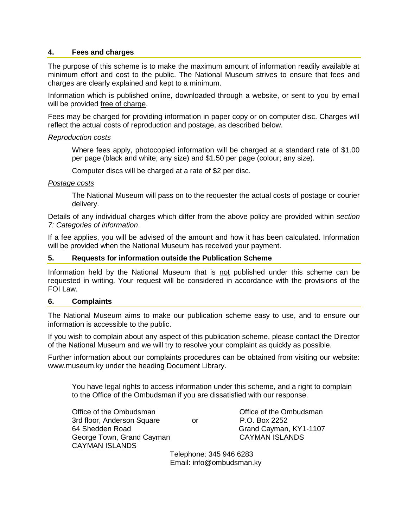# **4. Fees and charges**

The purpose of this scheme is to make the maximum amount of information readily available at minimum effort and cost to the public. The National Museum strives to ensure that fees and charges are clearly explained and kept to a minimum.

Information which is published online, downloaded through a website, or sent to you by email will be provided free of charge.

Fees may be charged for providing information in paper copy or on computer disc. Charges will reflect the actual costs of reproduction and postage, as described below.

# *Reproduction costs*

Where fees apply, photocopied information will be charged at a standard rate of \$1.00 per page (black and white; any size) and \$1.50 per page (colour; any size).

Computer discs will be charged at a rate of \$2 per disc.

# *Postage costs*

The National Museum will pass on to the requester the actual costs of postage or courier delivery.

Details of any individual charges which differ from the above policy are provided within *section 7: Categories of information*.

If a fee applies, you will be advised of the amount and how it has been calculated. Information will be provided when the National Museum has received your payment.

## **5. Requests for information outside the Publication Scheme**

Information held by the National Museum that is not published under this scheme can be requested in writing. Your request will be considered in accordance with the provisions of the FOI Law.

## **6. Complaints**

The National Museum aims to make our publication scheme easy to use, and to ensure our information is accessible to the public.

If you wish to complain about any aspect of this publication scheme, please contact the Director of the National Museum and we will try to resolve your complaint as quickly as possible.

Further information about our complaints procedures can be obtained from visiting our website: [www.museum.ky](http://www.museum.ky/) under the heading Document Library.

You have legal rights to access information under this scheme, and a right to complain to the Office of the Ombudsman if you are dissatisfied with our response.

Office of the Ombudsman Office of the Ombudsman 3rd floor, Anderson Square or P.O. Box 2252 64 Shedden Road Grand Cayman, KY1-1107 George Town, Grand Cayman CAYMAN ISLANDS CAYMAN ISLANDS

 Telephone: 345 946 6283 Email: [info@ombudsman.ky](mailto:info@ombudsman.ky)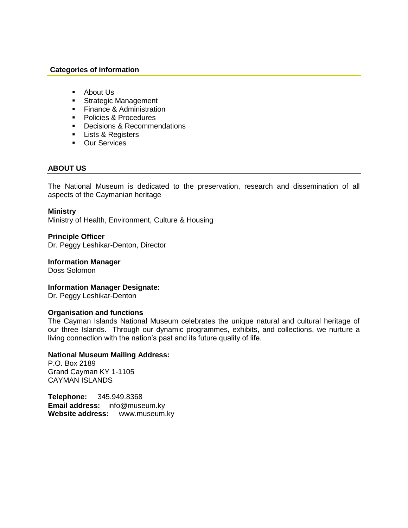# **Categories of information**

- **About Us**
- **Strategic Management**
- **Finance & Administration**
- **Policies & Procedures**
- Decisions & Recommendations
- **Lists & Registers**
- **Dur Services**

# **ABOUT US**

The National Museum is dedicated to the preservation, research and dissemination of all aspects of the Caymanian heritage

## **Ministry**

Ministry of Health, Environment, Culture & Housing

**Principle Officer**  Dr. Peggy Leshikar-Denton, Director

# **Information Manager**

Doss Solomon

## **Information Manager Designate:**

Dr. Peggy Leshikar-Denton

## **Organisation and functions**

The Cayman Islands National Museum celebrates the unique natural and cultural heritage of our three Islands. Through our dynamic programmes, exhibits, and collections, we nurture a living connection with the nation's past and its future quality of life.

# **National Museum Mailing Address:**

P.O. Box 2189 Grand Cayman KY 1-1105 CAYMAN ISLANDS

**Telephone:** 345.949.8368 **Email address:** info@museum.ky **Website address:** www.museum.ky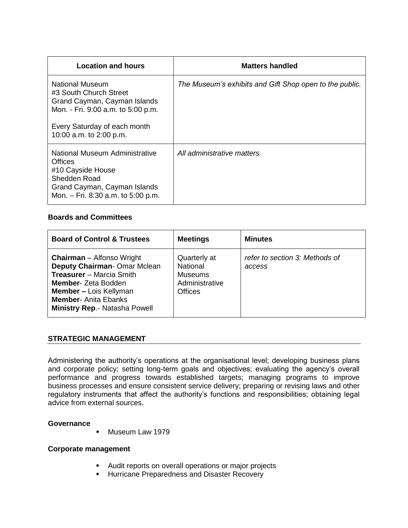| <b>Location and hours</b>                                                                                                                                                  | Matters handled                                         |
|----------------------------------------------------------------------------------------------------------------------------------------------------------------------------|---------------------------------------------------------|
| National Museum<br>#3 South Church Street<br>Grand Cayman, Cayman Islands<br>Mon. - Fri. 9:00 a.m. to 5:00 p.m.<br>Every Saturday of each month<br>10:00 a.m. to 2:00 p.m. | The Museum's exhibits and Gift Shop open to the public. |
| National Museum Administrative<br><b>Offices</b><br>#10 Cayside House<br>Shedden Road<br>Grand Cayman, Cayman Islands<br>Mon. - Fri. 8:30 a.m. to 5:00 p.m.                | All administrative matters.                             |

# **Boards and Committees**

| <b>Board of Control &amp; Trustees</b>                                                                                                                                                                                                  | <b>Meetings</b>                                                                       | <b>Minutes</b>                           |
|-----------------------------------------------------------------------------------------------------------------------------------------------------------------------------------------------------------------------------------------|---------------------------------------------------------------------------------------|------------------------------------------|
| <b>Chairman</b> – Alfonso Wright<br>Deputy Chairman-Omar Mclean<br><b>Treasurer</b> – Marcia Smith<br><b>Member-</b> Zeta Bodden<br><b>Member - Lois Kellyman</b><br><b>Member-Anita Ebanks</b><br><b>Ministry Rep.- Natasha Powell</b> | Quarterly at<br><b>National</b><br><b>Museums</b><br>Administrative<br><b>Offices</b> | refer to section 3: Methods of<br>access |

# **STRATEGIC MANAGEMENT**

Administering the authority's operations at the organisational level; developing business plans and corporate policy; setting long-term goals and objectives; evaluating the agency's overall performance and progress towards established targets; managing programs to improve business processes and ensure consistent service delivery; preparing or revising laws and other regulatory instruments that affect the authority's functions and responsibilities; obtaining legal advice from external sources.

## **Governance**

**Museum Law 1979** 

## **Corporate management**

- **Audit reports on overall operations or major projects**
- **Hurricane Preparedness and Disaster Recovery**